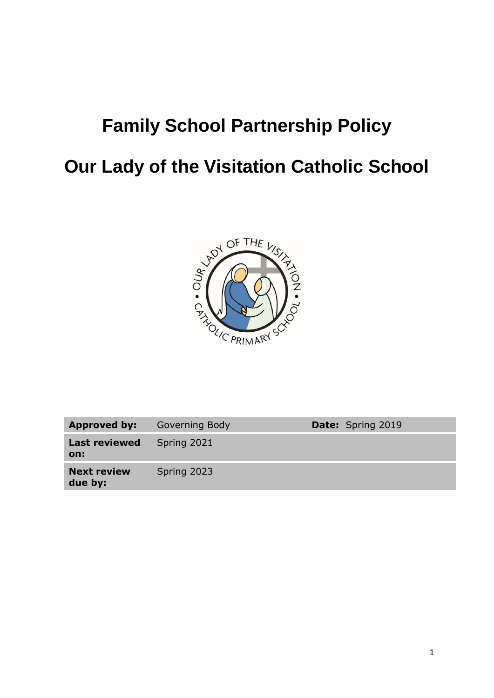# **Family School Partnership Policy**

# **Our Lady of the Visitation Catholic School**



| Approved by:                  | Governing Body | <b>Date:</b> Spring 2019 |
|-------------------------------|----------------|--------------------------|
| <b>Last reviewed</b><br>on:   | Spring 2021    |                          |
| <b>Next review</b><br>due by: | Spring 2023    |                          |
|                               |                |                          |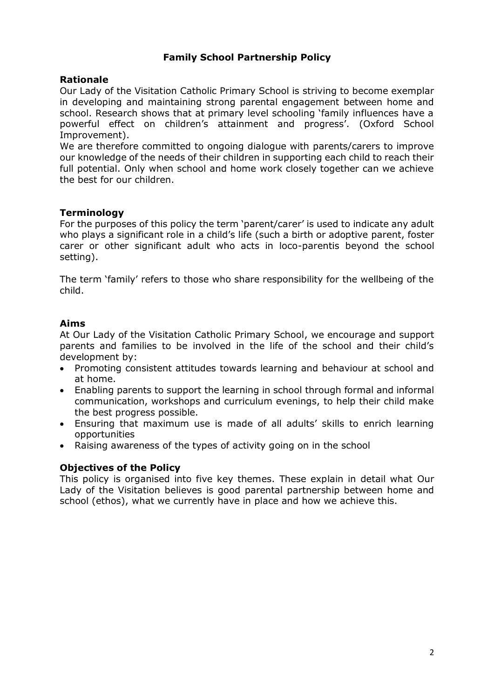#### **Family School Partnership Policy**

#### **Rationale**

Our Lady of the Visitation Catholic Primary School is striving to become exemplar in developing and maintaining strong parental engagement between home and school. Research shows that at primary level schooling 'family influences have a powerful effect on children's attainment and progress'. (Oxford School Improvement).

We are therefore committed to ongoing dialogue with parents/carers to improve our knowledge of the needs of their children in supporting each child to reach their full potential. Only when school and home work closely together can we achieve the best for our children.

#### **Terminology**

For the purposes of this policy the term 'parent/carer' is used to indicate any adult who plays a significant role in a child's life (such a birth or adoptive parent, foster carer or other significant adult who acts in loco-parentis beyond the school setting).

The term 'family' refers to those who share responsibility for the wellbeing of the child.

#### **Aims**

At Our Lady of the Visitation Catholic Primary School, we encourage and support parents and families to be involved in the life of the school and their child's development by:

- Promoting consistent attitudes towards learning and behaviour at school and at home.
- Enabling parents to support the learning in school through formal and informal communication, workshops and curriculum evenings, to help their child make the best progress possible.
- Ensuring that maximum use is made of all adults' skills to enrich learning opportunities
- Raising awareness of the types of activity going on in the school

#### **Objectives of the Policy**

This policy is organised into five key themes. These explain in detail what Our Lady of the Visitation believes is good parental partnership between home and school (ethos), what we currently have in place and how we achieve this.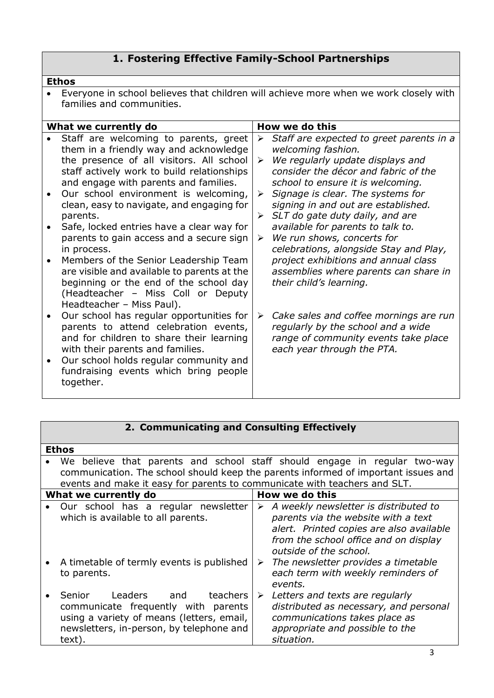## **1. Fostering Effective Family-School Partnerships**

#### **Ethos**

 Everyone in school believes that children will achieve more when we work closely with families and communities.

| What we currently do |                                                                                                                                                                                                                                                                                                                                                                                                                                                                                                                                                                                                                                  |                  | How we do this                                                                                                                                                                                                                                                                                                                                                                                                                                                                                                                           |  |  |
|----------------------|----------------------------------------------------------------------------------------------------------------------------------------------------------------------------------------------------------------------------------------------------------------------------------------------------------------------------------------------------------------------------------------------------------------------------------------------------------------------------------------------------------------------------------------------------------------------------------------------------------------------------------|------------------|------------------------------------------------------------------------------------------------------------------------------------------------------------------------------------------------------------------------------------------------------------------------------------------------------------------------------------------------------------------------------------------------------------------------------------------------------------------------------------------------------------------------------------------|--|--|
|                      | Staff are welcoming to parents, greet<br>them in a friendly way and acknowledge<br>the presence of all visitors. All school<br>staff actively work to build relationships<br>and engage with parents and families.<br>Our school environment is welcoming,<br>clean, easy to navigate, and engaging for<br>parents.<br>Safe, locked entries have a clear way for<br>parents to gain access and a secure sign<br>in process.<br>Members of the Senior Leadership Team<br>are visible and available to parents at the<br>beginning or the end of the school day<br>(Headteacher - Miss Coll or Deputy<br>Headteacher - Miss Paul). | ➤<br>➤<br>➤<br>➤ | Staff are expected to greet parents in a<br>welcoming fashion.<br>We regularly update displays and<br>consider the décor and fabric of the<br>school to ensure it is welcoming.<br>Signage is clear. The systems for<br>signing in and out are established.<br>$\triangleright$ SLT do gate duty daily, and are<br>available for parents to talk to.<br>We run shows, concerts for<br>celebrations, alongside Stay and Play,<br>project exhibitions and annual class<br>assemblies where parents can share in<br>their child's learning. |  |  |
|                      | Our school has regular opportunities for<br>parents to attend celebration events,<br>and for children to share their learning<br>with their parents and families.<br>Our school holds regular community and<br>fundraising events which bring people<br>together.                                                                                                                                                                                                                                                                                                                                                                | ➤                | Cake sales and coffee mornings are run<br>regularly by the school and a wide<br>range of community events take place<br>each year through the PTA.                                                                                                                                                                                                                                                                                                                                                                                       |  |  |
|                      |                                                                                                                                                                                                                                                                                                                                                                                                                                                                                                                                                                                                                                  |                  |                                                                                                                                                                                                                                                                                                                                                                                                                                                                                                                                          |  |  |

## **2. Communicating and Consulting Effectively**

| <b>Ethos</b>                                                                                                                                                                                                                                 |                                                                                                                                                                                                  |  |  |  |
|----------------------------------------------------------------------------------------------------------------------------------------------------------------------------------------------------------------------------------------------|--------------------------------------------------------------------------------------------------------------------------------------------------------------------------------------------------|--|--|--|
| We believe that parents and school staff should engage in regular two-way<br>communication. The school should keep the parents informed of important issues and<br>events and make it easy for parents to communicate with teachers and SLT. |                                                                                                                                                                                                  |  |  |  |
| What we currently do                                                                                                                                                                                                                         | How we do this                                                                                                                                                                                   |  |  |  |
| Our school has a regular newsletter<br>which is available to all parents.                                                                                                                                                                    | A weekly newsletter is distributed to<br>➤<br>parents via the website with a text<br>alert. Printed copies are also available<br>from the school office and on display<br>outside of the school. |  |  |  |
| • A timetable of termly events is published<br>to parents.                                                                                                                                                                                   | $\triangleright$ The newsletter provides a timetable<br>each term with weekly reminders of<br>events.                                                                                            |  |  |  |
| Senior Leaders and<br>teachers I<br>communicate frequently with parents<br>using a variety of means (letters, email,<br>newsletters, in-person, by telephone and<br>text).                                                                   | Letters and texts are regularly<br>$\blacktriangleright$<br>distributed as necessary, and personal<br>communications takes place as<br>appropriate and possible to the<br>situation.             |  |  |  |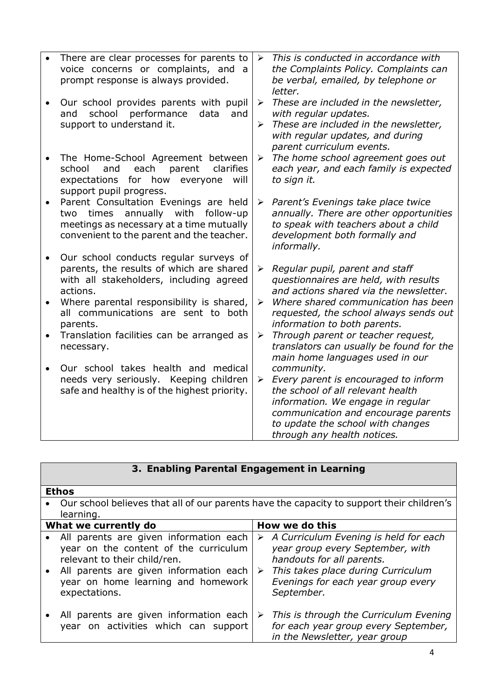|           | There are clear processes for parents to<br>voice concerns or complaints, and a<br>prompt response is always provided.                                                                | $\blacktriangleright$      | This is conducted in accordance with<br>the Complaints Policy. Complaints can<br>be verbal, emailed, by telephone or<br>letter.                                                                                                         |
|-----------|---------------------------------------------------------------------------------------------------------------------------------------------------------------------------------------|----------------------------|-----------------------------------------------------------------------------------------------------------------------------------------------------------------------------------------------------------------------------------------|
|           | Our school provides parents with pupil<br>school<br>performance<br>and<br>data<br>and<br>support to understand it.                                                                    | $\blacktriangleright$<br>➤ | These are included in the newsletter,<br>with regular updates.<br>These are included in the newsletter,<br>with regular updates, and during<br>parent curriculum events.                                                                |
|           | The Home-School Agreement between<br>clarifies<br>school<br>each<br>and<br>parent<br>expectations<br>for how<br>will<br>everyone<br>support pupil progress.                           | ➤                          | The home school agreement goes out<br>each year, and each family is expected<br>to sign it.                                                                                                                                             |
|           | Parent Consultation Evenings are held<br>annually with follow-up<br>times<br>two<br>meetings as necessary at a time mutually<br>convenient to the parent and the teacher.             | $\blacktriangleright$      | Parent's Evenings take place twice<br>annually. There are other opportunities<br>to speak with teachers about a child<br>development both formally and<br>informally.                                                                   |
| $\bullet$ | Our school conducts regular surveys of<br>parents, the results of which are shared<br>with all stakeholders, including agreed<br>actions.<br>Where parental responsibility is shared, | ➤<br>$\blacktriangleright$ | Regular pupil, parent and staff<br>questionnaires are held, with results<br>and actions shared via the newsletter.<br>Where shared communication has been                                                                               |
|           | all communications are sent to both<br>parents.                                                                                                                                       |                            | requested, the school always sends out<br>information to both parents.                                                                                                                                                                  |
|           | Translation facilities can be arranged as<br>necessary.                                                                                                                               | ➤                          | Through parent or teacher request,<br>translators can usually be found for the<br>main home languages used in our                                                                                                                       |
| $\bullet$ | Our school takes health and medical<br>needs very seriously. Keeping children<br>safe and healthy is of the highest priority.                                                         | ➤                          | community.<br>Every parent is encouraged to inform<br>the school of all relevant health<br>information. We engage in regular<br>communication and encourage parents<br>to update the school with changes<br>through any health notices. |

### **3. Enabling Parental Engagement in Learning**

Г

| <b>Ethos</b>                                                                                                                                                                                                     |                                                                                                                                                                                                                        |  |  |  |
|------------------------------------------------------------------------------------------------------------------------------------------------------------------------------------------------------------------|------------------------------------------------------------------------------------------------------------------------------------------------------------------------------------------------------------------------|--|--|--|
| Our school believes that all of our parents have the capacity to support their children's<br>learning.                                                                                                           |                                                                                                                                                                                                                        |  |  |  |
| What we currently do                                                                                                                                                                                             | How we do this                                                                                                                                                                                                         |  |  |  |
| All parents are given information each<br>year on the content of the curriculum<br>relevant to their child/ren.<br>All parents are given information each<br>year on home learning and homework<br>expectations. | $\triangleright$ A Curriculum Evening is held for each<br>year group every September, with<br>handouts for all parents.<br>This takes place during Curriculum<br>➤<br>Evenings for each year group every<br>September. |  |  |  |
| All parents are given information each<br>year on activities which can support                                                                                                                                   | This is through the Curriculum Evening<br>➤<br>for each year group every September,<br>in the Newsletter, year group                                                                                                   |  |  |  |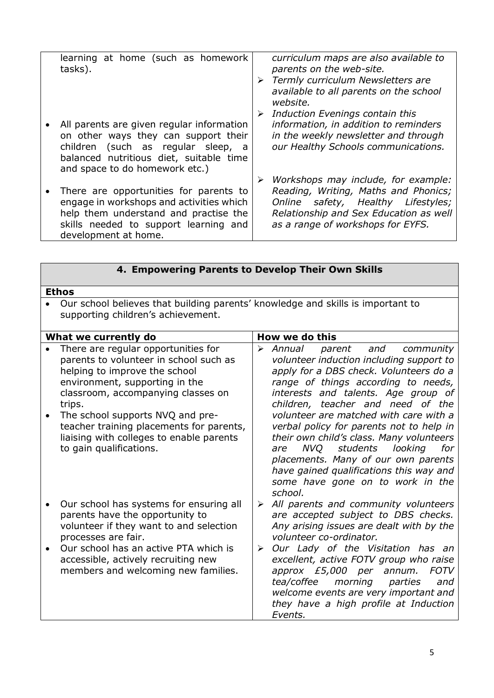| learning at home (such as homework<br>tasks).                                                                                                                                                        | ➤ | curriculum maps are also available to<br>parents on the web-site.<br>> Termly curriculum Newsletters are<br>available to all parents on the school<br>website.<br>Induction Evenings contain this |
|------------------------------------------------------------------------------------------------------------------------------------------------------------------------------------------------------|---|---------------------------------------------------------------------------------------------------------------------------------------------------------------------------------------------------|
| All parents are given regular information<br>on other ways they can support their<br>children (such as regular sleep, a<br>balanced nutritious diet, suitable time<br>and space to do homework etc.) |   | information, in addition to reminders<br>in the weekly newsletter and through<br>our Healthy Schools communications.                                                                              |
| There are opportunities for parents to<br>engage in workshops and activities which<br>help them understand and practise the<br>skills needed to support learning and<br>development at home.         |   | Workshops may include, for example:<br>Reading, Writing, Maths and Phonics;<br>Online safety, Healthy Lifestyles;<br>Relationship and Sex Education as well<br>as a range of workshops for EYFS.  |

| 4. Empowering Parents to Develop Their Own Skills |  |
|---------------------------------------------------|--|
|---------------------------------------------------|--|

### **Ethos**

 Our school believes that building parents' knowledge and skills is important to supporting children's achievement.

| What we currently do |                                                                                                                                                                                                                                                                                                                                                         |        | How we do this                                                                                                                                                                                                                                                                                                                                                                                                                                                                                                                                            |
|----------------------|---------------------------------------------------------------------------------------------------------------------------------------------------------------------------------------------------------------------------------------------------------------------------------------------------------------------------------------------------------|--------|-----------------------------------------------------------------------------------------------------------------------------------------------------------------------------------------------------------------------------------------------------------------------------------------------------------------------------------------------------------------------------------------------------------------------------------------------------------------------------------------------------------------------------------------------------------|
|                      | There are regular opportunities for<br>parents to volunteer in school such as<br>helping to improve the school<br>environment, supporting in the<br>classroom, accompanying classes on<br>trips.<br>The school supports NVQ and pre-<br>teacher training placements for parents,<br>liaising with colleges to enable parents<br>to gain qualifications. | ➤      | Annual<br>parent and<br>community<br>volunteer induction including support to<br>apply for a DBS check. Volunteers do a<br>range of things according to needs,<br>interests and talents. Age group of<br>children, teacher and need of the<br>volunteer are matched with care with a<br>verbal policy for parents not to help in<br>their own child's class. Many volunteers<br>students<br>looking<br>NVQ<br>for<br>are<br>placements. Many of our own parents<br>have gained qualifications this way and<br>some have gone on to work in the<br>school. |
|                      | Our school has systems for ensuring all<br>parents have the opportunity to<br>volunteer if they want to and selection<br>processes are fair.<br>Our school has an active PTA which is<br>accessible, actively recruiting new<br>members and welcoming new families.                                                                                     | ➤<br>➤ | All parents and community volunteers<br>are accepted subject to DBS checks.<br>Any arising issues are dealt with by the<br>volunteer co-ordinator.<br>Our Lady of the Visitation has an<br>excellent, active FOTV group who raise<br>approx £5,000 per annum.<br><b>FOTV</b><br>morning parties<br>tea/coffee<br>and<br>welcome events are very important and<br>they have a high profile at Induction<br>Events.                                                                                                                                         |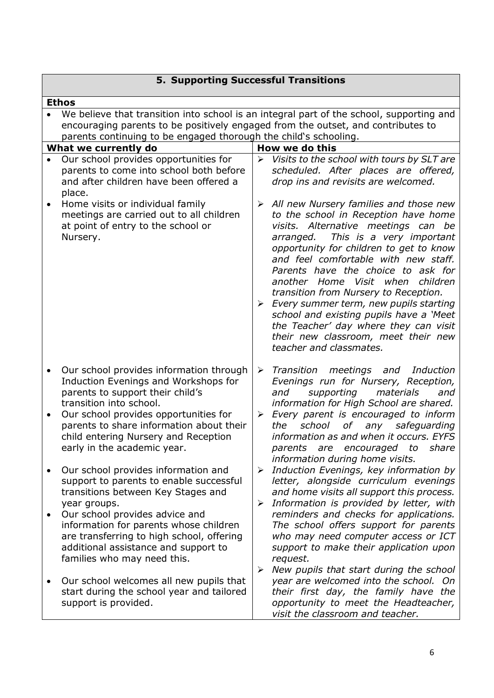# **5. Supporting Successful Transitions**

|                                                                                                                                                                                                                                                  | <b>Ethos</b>                                                                                                                                                                                 |                            |                                                                                                                                                                                                                                                                                                                                                                                                                                                                                                                               |  |
|--------------------------------------------------------------------------------------------------------------------------------------------------------------------------------------------------------------------------------------------------|----------------------------------------------------------------------------------------------------------------------------------------------------------------------------------------------|----------------------------|-------------------------------------------------------------------------------------------------------------------------------------------------------------------------------------------------------------------------------------------------------------------------------------------------------------------------------------------------------------------------------------------------------------------------------------------------------------------------------------------------------------------------------|--|
| We believe that transition into school is an integral part of the school, supporting and<br>encouraging parents to be positively engaged from the outset, and contributes to<br>parents continuing to be engaged thorough the child's schooling. |                                                                                                                                                                                              |                            |                                                                                                                                                                                                                                                                                                                                                                                                                                                                                                                               |  |
|                                                                                                                                                                                                                                                  | What we currently do                                                                                                                                                                         |                            | How we do this                                                                                                                                                                                                                                                                                                                                                                                                                                                                                                                |  |
|                                                                                                                                                                                                                                                  | Our school provides opportunities for<br>parents to come into school both before<br>and after children have been offered a<br>place.<br>Home visits or individual family                     | $\blacktriangleright$<br>➤ | Visits to the school with tours by SLT are<br>scheduled. After places are offered,<br>drop ins and revisits are welcomed.<br>All new Nursery families and those new                                                                                                                                                                                                                                                                                                                                                           |  |
|                                                                                                                                                                                                                                                  | meetings are carried out to all children<br>at point of entry to the school or<br>Nursery.                                                                                                   |                            | to the school in Reception have home<br>visits. Alternative meetings can be<br>This is a very important<br>arranged.<br>opportunity for children to get to know<br>and feel comfortable with new staff.<br>Parents have the choice to ask for<br>another Home Visit when<br>children<br>transition from Nursery to Reception.<br>Every summer term, new pupils starting<br>school and existing pupils have a 'Meet<br>the Teacher' day where they can visit<br>their new classroom, meet their new<br>teacher and classmates. |  |
| $\bullet$                                                                                                                                                                                                                                        | Our school provides information through                                                                                                                                                      | ➤                          | Transition meetings and Induction                                                                                                                                                                                                                                                                                                                                                                                                                                                                                             |  |
|                                                                                                                                                                                                                                                  | Induction Evenings and Workshops for<br>parents to support their child's<br>transition into school.                                                                                          |                            | Evenings run for Nursery, Reception,<br>materials<br>supporting<br>and<br>and<br>information for High School are shared.                                                                                                                                                                                                                                                                                                                                                                                                      |  |
|                                                                                                                                                                                                                                                  | Our school provides opportunities for<br>parents to share information about their<br>child entering Nursery and Reception<br>early in the academic year.                                     | $\blacktriangleright$      | Every parent is encouraged to inform<br>school<br>of any safeguarding<br>the<br>information as and when it occurs. EYFS<br>parents are encouraged<br>to<br>share<br>information during home visits.                                                                                                                                                                                                                                                                                                                           |  |
|                                                                                                                                                                                                                                                  | Our school provides information and<br>support to parents to enable successful<br>transitions between Key Stages and<br>year groups.                                                         | ➤<br>➤                     | Induction Evenings, key information by<br>letter, alongside curriculum evenings<br>and home visits all support this process.<br>Information is provided by letter, with                                                                                                                                                                                                                                                                                                                                                       |  |
|                                                                                                                                                                                                                                                  | Our school provides advice and<br>information for parents whose children<br>are transferring to high school, offering<br>additional assistance and support to<br>families who may need this. | $\blacktriangleright$      | reminders and checks for applications.<br>The school offers support for parents<br>who may need computer access or ICT<br>support to make their application upon<br>request.                                                                                                                                                                                                                                                                                                                                                  |  |
|                                                                                                                                                                                                                                                  | Our school welcomes all new pupils that<br>start during the school year and tailored<br>support is provided.                                                                                 |                            | New pupils that start during the school<br>year are welcomed into the school. On<br>their first day, the family have the<br>opportunity to meet the Headteacher,<br>visit the classroom and teacher.                                                                                                                                                                                                                                                                                                                          |  |